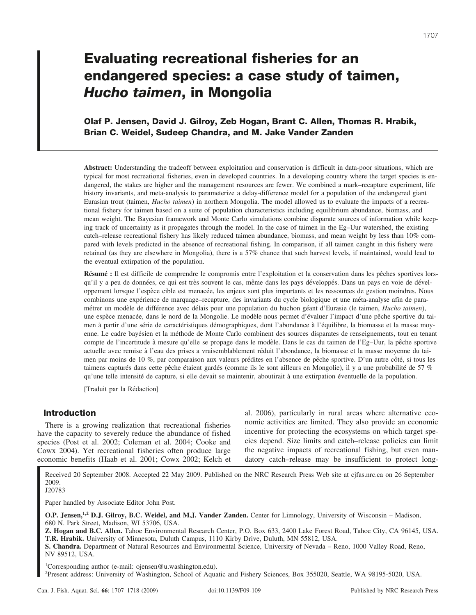# **Evaluating recreational fisheries for an endangered species: a case study of taimen,** *Hucho taimen***, in Mongolia**

# **Olaf P. Jensen, David J. Gilroy, Zeb Hogan, Brant C. Allen, Thomas R. Hrabik, Brian C. Weidel, Sudeep Chandra, and M. Jake Vander Zanden**

**Abstract:** Understanding the tradeoff between exploitation and conservation is difficult in data-poor situations, which are typical for most recreational fisheries, even in developed countries. In a developing country where the target species is endangered, the stakes are higher and the management resources are fewer. We combined a mark–recapture experiment, life history invariants, and meta-analysis to parameterize a delay-difference model for a population of the endangered giant Eurasian trout (taimen, *Hucho taimen*) in northern Mongolia. The model allowed us to evaluate the impacts of a recreational fishery for taimen based on a suite of population characteristics including equilibrium abundance, biomass, and mean weight. The Bayesian framework and Monte Carlo simulations combine disparate sources of information while keeping track of uncertainty as it propagates through the model. In the case of taimen in the Eg–Uur watershed, the existing catch–release recreational fishery has likely reduced taimen abundance, biomass, and mean weight by less than 10% compared with levels predicted in the absence of recreational fishing. In comparison, if all taimen caught in this fishery were retained (as they are elsewhere in Mongolia), there is a 57% chance that such harvest levels, if maintained, would lead to the eventual extirpation of the population.

Résumé : Il est difficile de comprendre le compromis entre l'exploitation et la conservation dans les pêches sportives lorsqu'il y a peu de données, ce qui est très souvent le cas, même dans les pays développés. Dans un pays en voie de développement lorsque l'espèce cible est menacée, les enjeux sont plus importants et les ressources de gestion moindres. Nous combinons une expérience de marquage–recapture, des invariants du cycle biologique et une méta-analyse afin de paramétrer un modèle de différence avec délais pour une population du huchon géant d'Eurasie (le taimen, *Hucho taimen*), une espèce menacée, dans le nord de la Mongolie. Le modèle nous permet d'évaluer l'impact d'une pêche sportive du taimen à partir d'une série de caractéristiques démographiques, dont l'abondance à l'équilibre, la biomasse et la masse moyenne. Le cadre bayésien et la méthode de Monte Carlo combinent des sources disparates de renseignements, tout en tenant compte de l'incertitude à mesure qu'elle se propage dans le modèle. Dans le cas du taimen de l'Eg–Uur, la pêche sportive actuelle avec remise à l'eau des prises a vraisemblablement réduit l'abondance, la biomasse et la masse moyenne du taimen par moins de 10 %, par comparaison aux valeurs prédites en l'absence de pêche sportive. D'un autre côté, si tous les taimens capturés dans cette pêche étaient gardés (comme ils le sont ailleurs en Mongolie), il y a une probabilité de 57 % qu'une telle intensité de capture, si elle devait se maintenir, aboutirait à une extirpation éventuelle de la population.

[Traduit par la Rédaction]

## **Introduction**

There is a growing realization that recreational fisheries have the capacity to severely reduce the abundance of fished species (Post et al. 2002; Coleman et al. 2004; Cooke and Cowx 2004). Yet recreational fisheries often produce large economic benefits (Haab et al. 2001; Cowx 2002; Kelch et al. 2006), particularly in rural areas where alternative economic activities are limited. They also provide an economic incentive for protecting the ecosystems on which target species depend. Size limits and catch–release policies can limit the negative impacts of recreational fishing, but even mandatory catch–release may be insufficient to protect long-

Received 20 September 2008. Accepted 22 May 2009. Published on the NRC Research Press Web site at cjfas.nrc.ca on 26 September 2009. J20783

Paper handled by Associate Editor John Post.

**O.P. Jensen,1,2 D.J. Gilroy, B.C. Weidel, and M.J. Vander Zanden.** Center for Limnology, University of Wisconsin – Madison, 680 N. Park Street, Madison, WI 53706, USA.

**Z. Hogan and B.C. Allen.** Tahoe Environmental Research Center, P.O. Box 633, 2400 Lake Forest Road, Tahoe City, CA 96145, USA. **T.R. Hrabik.** University of Minnesota, Duluth Campus, 1110 Kirby Drive, Duluth, MN 55812, USA.

**S. Chandra.** Department of Natural Resources and Environmental Science, University of Nevada – Reno, 1000 Valley Road, Reno, NV 89512, USA.

<sup>1</sup>Corresponding author (e-mail: ojensen@u.washington.edu).

2Present address: University of Washington, School of Aquatic and Fishery Sciences, Box 355020, Seattle, WA 98195-5020, USA.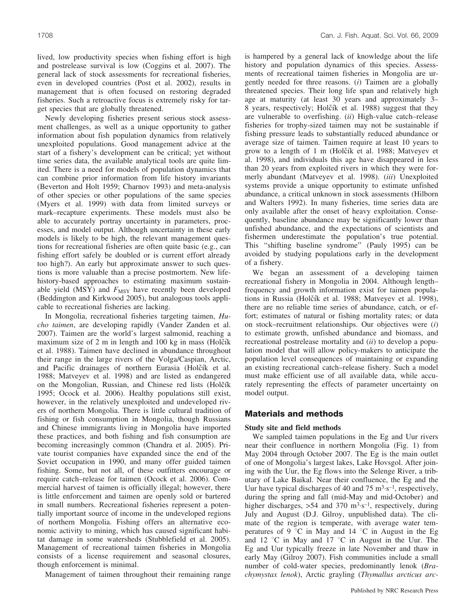lived, low productivity species when fishing effort is high and postrelease survival is low (Coggins et al. 2007). The general lack of stock assessments for recreational fisheries, even in developed countries (Post et al. 2002), results in management that is often focused on restoring degraded fisheries. Such a retroactive focus is extremely risky for target species that are globally threatened.

Newly developing fisheries present serious stock assessment challenges, as well as a unique opportunity to gather information about fish population dynamics from relatively unexploited populations. Good management advice at the start of a fishery's development can be critical; yet without time series data, the available analytical tools are quite limited. There is a need for models of population dynamics that can combine prior information from life history invariants (Beverton and Holt 1959; Charnov 1993) and meta-analysis of other species or other populations of the same species (Myers et al. 1999) with data from limited surveys or mark–recapture experiments. These models must also be able to accurately portray uncertainty in parameters, processes, and model output. Although uncertainty in these early models is likely to be high, the relevant management questions for recreational fisheries are often quite basic (e.g., can fishing effort safely be doubled or is current effort already too high?). An early but approximate answer to such questions is more valuable than a precise postmortem. New lifehistory-based approaches to estimating maximum sustainable yield (MSY) and  $F_{\text{MSY}}$  have recently been developed (Beddington and Kirkwood 2005), but analogous tools applicable to recreational fisheries are lacking.

In Mongolia, recreational fisheries targeting taimen, *Hucho taimen*, are developing rapidly (Vander Zanden et al. 2007). Taimen are the world's largest salmonid, reaching a maximum size of  $2 \text{ m}$  in length and  $100 \text{ kg}$  in mass (Holčík et al. 1988). Taimen have declined in abundance throughout their range in the large rivers of the Volga/Caspian, Arctic, and Pacific drainages of northern Eurasia (Holčík et al. 1988; Matveyev et al. 1998) and are listed as endangered on the Mongolian, Russian, and Chinese red lists (Holčík 1995; Ocock et al. 2006). Healthy populations still exist, however, in the relatively unexploited and undeveloped rivers of northern Mongolia. There is little cultural tradition of fishing or fish consumption in Mongolia, though Russians and Chinese immigrants living in Mongolia have imported these practices, and both fishing and fish consumption are becoming increasingly common (Chandra et al. 2005). Private tourist companies have expanded since the end of the Soviet occupation in 1990, and many offer guided taimen fishing. Some, but not all, of these outfitters encourage or require catch–release for taimen (Ocock et al. 2006). Commercial harvest of taimen is officially illegal; however, there is little enforcement and taimen are openly sold or bartered in small numbers. Recreational fisheries represent a potentially important source of income in the undeveloped regions of northern Mongolia. Fishing offers an alternative economic activity to mining, which has caused significant habitat damage in some watersheds (Stubblefield et al. 2005). Management of recreational taimen fisheries in Mongolia consists of a license requirement and seasonal closures, though enforcement is minimal.

Management of taimen throughout their remaining range

is hampered by a general lack of knowledge about the life history and population dynamics of this species. Assessments of recreational taimen fisheries in Mongolia are urgently needed for three reasons. (*i*) Taimen are a globally threatened species. Their long life span and relatively high age at maturity (at least 30 years and approximately 3– 8 years, respectively; Holčík et al. 1988) suggest that they are vulnerable to overfishing. (*ii*) High-value catch–release fisheries for trophy-sized taimen may not be sustainable if fishing pressure leads to substantially reduced abundance or average size of taimen. Taimen require at least 10 years to grow to a length of 1 m (Holčík et al. 1988; Matveyev et al. 1998), and individuals this age have disappeared in less than 20 years from exploited rivers in which they were formerly abundant (Matveyev et al. 1998). (*iii*) Unexploited systems provide a unique opportunity to estimate unfished abundance, a critical unknown in stock assessments (Hilborn and Walters 1992). In many fisheries, time series data are only available after the onset of heavy exploitation. Consequently, baseline abundance may be significantly lower than unfished abundance, and the expectations of scientists and fishermen underestimate the population's true potential. This ''shifting baseline syndrome'' (Pauly 1995) can be avoided by studying populations early in the development of a fishery.

We began an assessment of a developing taimen recreational fishery in Mongolia in 2004. Although length– frequency and growth information exist for taimen populations in Russia (Holčík et al. 1988; Matveyev et al. 1998), there are no reliable time series of abundance, catch, or effort; estimates of natural or fishing mortality rates; or data on stock–recruitment relationships. Our objectives were (*i*) to estimate growth, unfished abundance and biomass, and recreational postrelease mortality and (*ii*) to develop a population model that will allow policy-makers to anticipate the population level consequences of maintaining or expanding an existing recreational catch–release fishery. Such a model must make efficient use of all available data, while accurately representing the effects of parameter uncertainty on model output.

## **Materials and methods**

## **Study site and field methods**

We sampled taimen populations in the Eg and Uur rivers near their confluence in northern Mongolia (Fig. 1) from May 2004 through October 2007. The Eg is the main outlet of one of Mongolia's largest lakes, Lake Hovsgol. After joining with the Uur, the Eg flows into the Selenge River, a tributary of Lake Baikal. Near their confluence, the Eg and the Uur have typical discharges of 40 and 75  $m<sup>3</sup>·s<sup>-1</sup>$ , respectively, during the spring and fall (mid-May and mid-October) and higher discharges,  $>54$  and 370 m<sup>3</sup>·s<sup>-1</sup>, respectively, during July and August (D.J. Gilroy, unpublished data). The climate of the region is temperate, with average water temperatures of 9  $\degree$ C in May and 14  $\degree$ C in August in the Eg and 12  $\degree$ C in May and 17  $\degree$ C in August in the Uur. The Eg and Uur typically freeze in late November and thaw in early May (Gilroy 2007). Fish communities include a small number of cold-water species, predominantly lenok (*Brachymystax lenok*), Arctic grayling (*Thymallus arcticus arc-*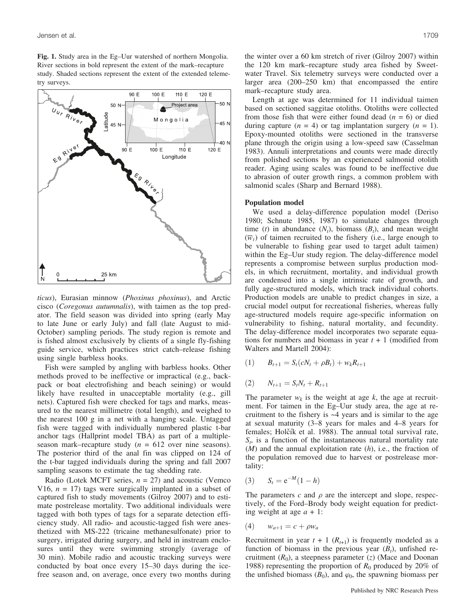**Fig. 1.** Study area in the Eg–Uur watershed of northern Mongolia. River sections in bold represent the extent of the mark–recapture study. Shaded sections represent the extent of the extended telemetry surveys.



*ticus*), Eurasian minnow (*Phoxinus phoxinus*), and Arctic cisco (*Coregonus autumnalis*), with taimen as the top predator. The field season was divided into spring (early May to late June or early July) and fall (late August to mid-October) sampling periods. The study region is remote and is fished almost exclusively by clients of a single fly-fishing guide service, which practices strict catch–release fishing using single barbless hooks.

Fish were sampled by angling with barbless hooks. Other methods proved to be ineffective or impractical (e.g., backpack or boat electrofishing and beach seining) or would likely have resulted in unacceptable mortality (e.g., gill nets). Captured fish were checked for tags and marks, measured to the nearest millimetre (total length), and weighed to the nearest 100 g in a net with a hanging scale. Untagged fish were tagged with individually numbered plastic t-bar anchor tags (Hallprint model TBA) as part of a multipleseason mark–recapture study  $(n = 612)$  over nine seasons). The posterior third of the anal fin was clipped on 124 of the t-bar tagged individuals during the spring and fall 2007 sampling seasons to estimate the tag shedding rate.

Radio (Lotek MCFT series,  $n = 27$ ) and acoustic (Vemco) V16,  $n = 17$ ) tags were surgically implanted in a subset of captured fish to study movements (Gilroy 2007) and to estimate postrelease mortality. Two additional individuals were tagged with both types of tags for a separate detection efficiency study. All radio- and acoustic-tagged fish were anesthetized with MS-222 (tricaine methanesulfonate) prior to surgery, irrigated during surgery, and held in instream enclosures until they were swimming strongly (average of 30 min). Mobile radio and acoustic tracking surveys were conducted by boat once every 15–30 days during the icefree season and, on average, once every two months during the winter over a 60 km stretch of river (Gilroy 2007) within the 120 km mark–recapture study area fished by Sweetwater Travel. Six telemetry surveys were conducted over a larger area (200–250 km) that encompassed the entire mark–recapture study area.

Length at age was determined for 11 individual taimen based on sectioned saggitae otoliths. Otoliths were collected from those fish that were either found dead  $(n = 6)$  or died during capture  $(n = 4)$  or tag implantation surgery  $(n = 1)$ . Epoxy-mounted otoliths were sectioned in the transverse plane through the origin using a low-speed saw (Casselman 1983). Annuli interpretations and counts were made directly from polished sections by an experienced salmonid otolith reader. Aging using scales was found to be ineffective due to abrasion of outer growth rings, a common problem with salmonid scales (Sharp and Bernard 1988).

#### **Population model**

We used a delay-difference population model (Deriso 1980; Schnute 1985, 1987) to simulate changes through time (*t*) in abundance  $(N_t)$ , biomass  $(B_t)$ , and mean weight  $(\overline{w}_t)$  of taimen recruited to the fishery (i.e., large enough to be vulnerable to fishing gear used to target adult taimen) within the Eg–Uur study region. The delay-difference model represents a compromise between surplus production models, in which recruitment, mortality, and individual growth are condensed into a single intrinsic rate of growth, and fully age-structured models, which track individual cohorts. Production models are unable to predict changes in size, a crucial model output for recreational fisheries, whereas fully age-structured models require age-specific information on vulnerability to fishing, natural mortality, and fecundity. The delay-difference model incorporates two separate equations for numbers and biomass in year  $t + 1$  (modified from Walters and Martell 2004):

$$
(1) \t B_{t+1} = S_t(cN_t + \rho B_t) + w_k R_{t+1}
$$

$$
(2) \qquad N_{t+1} = S_t N_t + R_{t+1}
$$

The parameter  $w_k$  is the weight at age  $k$ , the age at recruitment. For taimen in the Eg–Uur study area, the age at recruitment to the fishery is  $-4$  years and is similar to the age at sexual maturity (3–8 years for males and 4–8 years for females; Holčík et al. 1988). The annual total survival rate, *St*, is a function of the instantaneous natural mortality rate (*M*) and the annual exploitation rate (*h*), i.e., the fraction of the population removed due to harvest or postrelease mortality:

$$
(3) \qquad S_t = e^{-M}(1-h)
$$

The parameters  $c$  and  $\rho$  are the intercept and slope, respectively, of the Ford–Brody body weight equation for predicting weight at age  $a + 1$ :

$$
(4) \qquad w_{a+1} = c + \rho w_a
$$

Recruitment in year  $t + 1$  ( $R_{t+1}$ ) is frequently modeled as a function of biomass in the previous year  $(B_t)$ , unfished recruitment  $(R_0)$ , a steepness parameter  $(z)$  (Mace and Doonan 1988) representing the proportion of  $R_0$  produced by 20% of the unfished biomass  $(B_0)$ , and  $\varphi_0$ , the spawning biomass per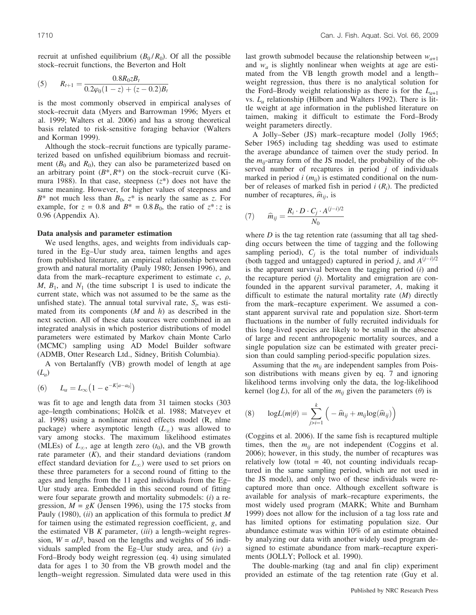recruit at unfished equilibrium  $(B_0/R_0)$ . Of all the possible stock–recruit functions, the Beverton and Holt

(5) 
$$
R_{t+1} = \frac{0.8R_0 zB_t}{0.2\varphi_0(1-z) + (z-0.2)B_t}
$$

is the most commonly observed in empirical analyses of stock–recruit data (Myers and Barrowman 1996; Myers et al. 1999; Walters et al. 2006) and has a strong theoretical basis related to risk-sensitive foraging behavior (Walters and Korman 1999).

Although the stock–recruit functions are typically parameterized based on unfished equilibrium biomass and recruitment  $(B_0$  and  $R_0$ ), they can also be parameterized based on an arbitrary point  $(B^*, R^*)$  on the stock–recruit curve (Kimura 1988). In that case, steepness (*z*\*) does not have the same meaning. However, for higher values of steepness and  $B^*$  not much less than  $B_0$ ,  $z^*$  is nearly the same as *z*. For example, for  $z = 0.8$  and  $B^* = 0.8 B_0$ , the ratio of  $z^*$ : *z* is 0.96 (Appendix A).

#### **Data analysis and parameter estimation**

We used lengths, ages, and weights from individuals captured in the Eg–Uur study area, taimen lengths and ages from published literature, an empirical relationship between growth and natural mortality (Pauly 1980; Jensen 1996), and data from the mark–recapture experiment to estimate  $c, \rho$ ,  $M$ ,  $B_1$ , and  $N_1$  (the time subscript 1 is used to indicate the current state, which was not assumed to be the same as the unfished state). The annual total survival rate,  $S_t$ , was estimated from its components (*M* and *h*) as described in the next section. All of these data sources were combined in an integrated analysis in which posterior distributions of model parameters were estimated by Markov chain Monte Carlo (MCMC) sampling using AD Model Builder software (ADMB, Otter Research Ltd., Sidney, British Columbia).

A von Bertalanffy (VB) growth model of length at age (*La*)

(6) 
$$
L_a = L_{\infty} (1 - e^{-K[a - a_0]})
$$

was fit to age and length data from 31 taimen stocks (303 age–length combinations; Holčík et al. 1988; Matveyev et al. 1998) using a nonlinear mixed effects model (R, nlme package) where asymptotic length  $(L_{\infty})$  was allowed to vary among stocks. The maximum likelihood estimates (MLEs) of  $L_{\infty}$ , age at length zero  $(t_0)$ , and the VB growth rate parameter (*K*), and their standard deviations (random effect standard deviation for  $L_{\infty}$ ) were used to set priors on these three parameters for a second round of fitting to the ages and lengths from the 11 aged individuals from the Eg– Uur study area. Embedded in this second round of fitting were four separate growth and mortality submodels: (*i*) a regression,  $M = gK$  (Jensen 1996), using the 175 stocks from Pauly (1980), (*ii*) an application of this formula to predict *M* for taimen using the estimated regression coefficient, *g*, and the estimated VB *K* parameter, (*iii*) a length–weight regression,  $W = \alpha L^{\beta}$ , based on the lengths and weights of 56 individuals sampled from the Eg–Uur study area, and (*iv*) a Ford–Brody body weight regression (eq. 4) using simulated data for ages 1 to 30 from the VB growth model and the length–weight regression. Simulated data were used in this last growth submodel because the relationship between  $w_{a+1}$ and  $w_a$  is slightly nonlinear when weights at age are estimated from the VB length growth model and a length– weight regression, thus there is no analytical solution for the Ford–Brody weight relationship as there is for the  $L_{a+1}$ vs. *La* relationship (Hilborn and Walters 1992). There is little weight at age information in the published literature on taimen, making it difficult to estimate the Ford–Brody weight parameters directly.

A Jolly–Seber (JS) mark–recapture model (Jolly 1965; Seber 1965) including tag shedding was used to estimate the average abundance of taimen over the study period. In the *mij*-array form of the JS model, the probability of the observed number of recaptures in period *j* of individuals marked in period  $i$  ( $m_{ii}$ ) is estimated conditional on the number of releases of marked fish in period *i* (*Ri*). The predicted number of recaptures,  $\hat{m}_{ii}$ , is

$$
(7) \qquad \widehat{m}_{ij} = \frac{R_i \cdot D \cdot C_j \cdot A^{(j-i)/2}}{N_0}
$$

where *D* is the tag retention rate (assuming that all tag shedding occurs between the time of tagging and the following sampling period),  $C_i$  is the total number of individuals (both tagged and untagged) captured in period *j*, and  $A^{(j-i)/2}$ is the apparent survival between the tagging period (*i*) and the recapture period (*j*). Mortality and emigration are confounded in the apparent survival parameter, *A*, making it difficult to estimate the natural mortality rate (*M*) directly from the mark–recapture experiment. We assumed a constant apparent survival rate and population size. Short-term fluctuations in the number of fully recruited individuals for this long-lived species are likely to be small in the absence of large and recent anthropogenic mortality sources, and a single population size can be estimated with greater precision than could sampling period-specific population sizes.

Assuming that the  $m_{ij}$  are independent samples from Poisson distributions with means given by eq. 7 and ignoring likelihood terms involving only the data, the log-likelihood kernel (log *L*), for all of the  $m_{ij}$  given the parameters ( $\theta$ ) is

$$
(8) \qquad \log L(m|\theta) = \sum_{j>i=1}^{k} \left( -\widehat{m}_{ij} + m_{ij} \log(\widehat{m}_{ij}) \right)
$$

(Coggins et al. 2006). If the same fish is recaptured multiple times, then the  $m_{ii}$  are not independent (Coggins et al. 2006); however, in this study, the number of recaptures was relatively low (total  $= 40$ , not counting individuals recaptured in the same sampling period, which are not used in the JS model), and only two of these individuals were recaptured more than once. Although excellent software is available for analysis of mark–recapture experiments, the most widely used program (MARK; White and Burnham 1999) does not allow for the inclusion of a tag loss rate and has limited options for estimating population size. Our abundance estimate was within 10% of an estimate obtained by analyzing our data with another widely used program designed to estimate abundance from mark–recapture experiments (JOLLY; Pollock et al. 1990).

The double-marking (tag and anal fin clip) experiment provided an estimate of the tag retention rate (Guy et al.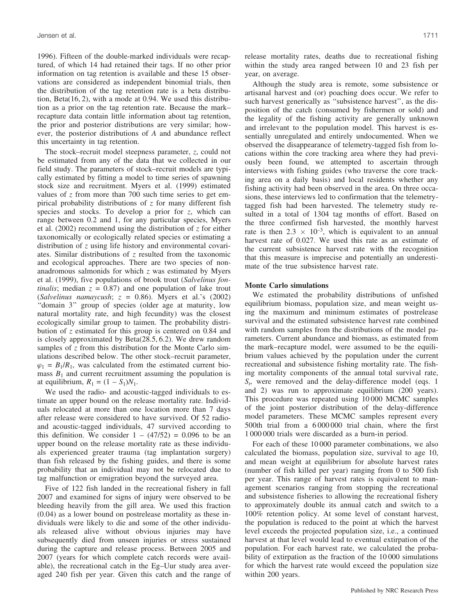1996). Fifteen of the double-marked individuals were recaptured, of which 14 had retained their tags. If no other prior information on tag retention is available and these 15 observations are considered as independent binomial trials, then the distribution of the tag retention rate is a beta distribution, Beta(16, 2), with a mode at 0.94. We used this distribution as a prior on the tag retention rate. Because the mark– recapture data contain little information about tag retention, the prior and posterior distributions are very similar; however, the posterior distributions of *A* and abundance reflect this uncertainty in tag retention.

The stock–recruit model steepness parameter, *z*, could not be estimated from any of the data that we collected in our field study. The parameters of stock–recruit models are typically estimated by fitting a model to time series of spawning stock size and recruitment. Myers et al. (1999) estimated values of *z* from more than 700 such time series to get empirical probability distributions of *z* for many different fish species and stocks. To develop a prior for *z*, which can range between 0.2 and 1, for any particular species, Myers et al. (2002) recommend using the distribution of *z* for either taxonomically or ecologically related species or estimating a distribution of *z* using life history and environmental covariates. Similar distributions of *z* resulted from the taxonomic and ecological approaches. There are two species of nonanadromous salmonids for which *z* was estimated by Myers et al. (1999), five populations of brook trout (*Salvelinus fontinalis*; median  $z = 0.87$  and one population of lake trout (*Salvelinus namaycush*; *z* = 0.86). Myers et al.'s (2002) ''domain 3'' group of species (older age at maturity, low natural mortality rate, and high fecundity) was the closest ecologically similar group to taimen. The probability distribution of *z* estimated for this group is centered on 0.84 and is closely approximated by Beta(28.5, 6.2). We drew random samples of *z* from this distribution for the Monte Carlo simulations described below. The other stock–recruit parameter,  $\varphi_1 = B_1/R_1$ , was calculated from the estimated current biomass  $B_1$  and current recruitment assuming the population is at equilibrium,  $R_1 = (1 - S_1)N_1$ .

We used the radio- and acoustic-tagged individuals to estimate an upper bound on the release mortality rate. Individuals relocated at more than one location more than 7 days after release were considered to have survived. Of 52 radioand acoustic-tagged individuals, 47 survived according to this definition. We consider  $1 - (47/52) = 0.096$  to be an upper bound on the release mortality rate as these individuals experienced greater trauma (tag implantation surgery) than fish released by the fishing guides, and there is some probability that an individual may not be relocated due to tag malfunction or emigration beyond the surveyed area.

Five of 122 fish landed in the recreational fishery in fall 2007 and examined for signs of injury were observed to be bleeding heavily from the gill area. We used this fraction (0.04) as a lower bound on postrelease mortality as these individuals were likely to die and some of the other individuals released alive without obvious injuries may have subsequently died from unseen injuries or stress sustained during the capture and release process. Between 2005 and 2007 (years for which complete catch records were available), the recreational catch in the Eg–Uur study area averaged 240 fish per year. Given this catch and the range of release mortality rates, deaths due to recreational fishing within the study area ranged between 10 and 23 fish per year, on average.

Although the study area is remote, some subsistence or artisanal harvest and (or) poaching does occur. We refer to such harvest generically as ''subsistence harvest'', as the disposition of the catch (consumed by fishermen or sold) and the legality of the fishing activity are generally unknown and irrelevant to the population model. This harvest is essentially unregulated and entirely undocumented. When we observed the disappearance of telemetry-tagged fish from locations within the core tracking area where they had previously been found, we attempted to ascertain through interviews with fishing guides (who traverse the core tracking area on a daily basis) and local residents whether any fishing activity had been observed in the area. On three occasions, these interviews led to confirmation that the telemetrytagged fish had been harvested. The telemetry study resulted in a total of 1304 tag months of effort. Based on the three confirmed fish harvested, the monthly harvest rate is then  $2.3 \times 10^{-3}$ , which is equivalent to an annual harvest rate of 0.027. We used this rate as an estimate of the current subsistence harvest rate with the recognition that this measure is imprecise and potentially an underestimate of the true subsistence harvest rate.

#### **Monte Carlo simulations**

We estimated the probability distributions of unfished equilibrium biomass, population size, and mean weight using the maximum and minimum estimates of postrelease survival and the estimated subsistence harvest rate combined with random samples from the distributions of the model parameters. Current abundance and biomass, as estimated from the mark–recapture model, were assumed to be the equilibrium values achieved by the population under the current recreational and subsistence fishing mortality rate. The fishing mortality components of the annual total survival rate, *St*, were removed and the delay-difference model (eqs. 1 and 2) was run to approximate equilibrium (200 years). This procedure was repeated using 10 000 MCMC samples of the joint posterior distribution of the delay-difference model parameters. These MCMC samples represent every 500th trial from a 6 000 000 trial chain, where the first 1 000 000 trials were discarded as a burn-in period.

For each of these 10 000 parameter combinations, we also calculated the biomass, population size, survival to age 10, and mean weight at equilibrium for absolute harvest rates (number of fish killed per year) ranging from 0 to 500 fish per year. This range of harvest rates is equivalent to management scenarios ranging from stopping the recreational and subsistence fisheries to allowing the recreational fishery to approximately double its annual catch and switch to a 100% retention policy. At some level of constant harvest, the population is reduced to the point at which the harvest level exceeds the projected population size, i.e., a continued harvest at that level would lead to eventual extirpation of the population. For each harvest rate, we calculated the probability of extirpation as the fraction of the 10 000 simulations for which the harvest rate would exceed the population size within 200 years.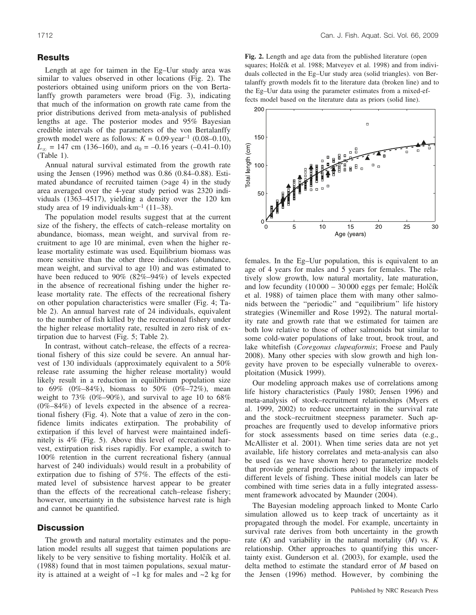## **Results**

Length at age for taimen in the Eg–Uur study area was similar to values observed in other locations (Fig. 2). The posteriors obtained using uniform priors on the von Bertalanffy growth parameters were broad (Fig. 3), indicating that much of the information on growth rate came from the prior distributions derived from meta-analysis of published lengths at age. The posterior modes and 95% Bayesian credible intervals of the parameters of the von Bertalanffy growth model were as follows:  $K = 0.09$ -year<sup>-1</sup> (0.08-0.10),  $L_{\infty}$  = 147 cm (136–160), and  $a_0$  = –0.16 years (–0.41–0.10) (Table 1).

Annual natural survival estimated from the growth rate using the Jensen (1996) method was 0.86 (0.84–0.88). Estimated abundance of recruited taimen ( $>$ age 4) in the study area averaged over the 4-year study period was 2320 individuals (1363–4517), yielding a density over the 120 km study area of 19 individuals-km–1 (11–38).

The population model results suggest that at the current size of the fishery, the effects of catch–release mortality on abundance, biomass, mean weight, and survival from recruitment to age 10 are minimal, even when the higher release mortality estimate was used. Equilibrium biomass was more sensitive than the other three indicators (abundance, mean weight, and survival to age 10) and was estimated to have been reduced to 90% (82%–94%) of levels expected in the absence of recreational fishing under the higher release mortality rate. The effects of the recreational fishery on other population characteristics were smaller (Fig. 4; Table 2). An annual harvest rate of 24 individuals, equivalent to the number of fish killed by the recreational fishery under the higher release mortality rate, resulted in zero risk of extirpation due to harvest (Fig. 5; Table 2).

In contrast, without catch–release, the effects of a recreational fishery of this size could be severe. An annual harvest of 130 individuals (approximately equivalent to a 50% release rate assuming the higher release mortality) would likely result in a reduction in equilibrium population size to 69% (0%–84%), biomass to 50% (0%–72%), mean weight to 73% (0%–90%), and survival to age 10 to  $68\%$ (0%–84%) of levels expected in the absence of a recreational fishery (Fig. 4). Note that a value of zero in the confidence limits indicates extirpation. The probability of extirpation if this level of harvest were maintained indefinitely is 4% (Fig. 5). Above this level of recreational harvest, extirpation risk rises rapidly. For example, a switch to 100% retention in the current recreational fishery (annual harvest of 240 individuals) would result in a probability of extirpation due to fishing of 57%. The effects of the estimated level of subsistence harvest appear to be greater than the effects of the recreational catch–release fishery; however, uncertainty in the subsistence harvest rate is high and cannot be quantified.

## **Discussion**

The growth and natural mortality estimates and the population model results all suggest that taimen populations are likely to be very sensitive to fishing mortality. Holčík et al. (1988) found that in most taimen populations, sexual maturity is attained at a weight of  $\sim$ 1 kg for males and  $\sim$ 2 kg for **Fig. 2.** Length and age data from the published literature (open squares; Holčík et al. 1988; Matveyev et al. 1998) and from individuals collected in the Eg–Uur study area (solid triangles). von Bertalanffy growth models fit to the literature data (broken line) and to the Eg–Uur data using the parameter estimates from a mixed-effects model based on the literature data as priors (solid line).



females. In the Eg–Uur population, this is equivalent to an age of 4 years for males and 5 years for females. The relatively slow growth, low natural mortality, late maturation, and low fecundity  $(10000 - 30000$  eggs per female; Holčík et al. 1988) of taimen place them with many other salmonids between the ''periodic'' and ''equilibrium'' life history strategies (Winemiller and Rose 1992). The natural mortality rate and growth rate that we estimated for taimen are both low relative to those of other salmonids but similar to some cold-water populations of lake trout, brook trout, and lake whitefish (*Coregonus clupeaformis*; Froese and Pauly 2008). Many other species with slow growth and high longevity have proven to be especially vulnerable to overexploitation (Musick 1999).

Our modeling approach makes use of correlations among life history characteristics (Pauly 1980; Jensen 1996) and meta-analysis of stock–recruitment relationships (Myers et al. 1999, 2002) to reduce uncertainty in the survival rate and the stock–recruitment steepness parameter. Such approaches are frequently used to develop informative priors for stock assessments based on time series data (e.g., McAllister et al. 2001). When time series data are not yet available, life history correlates and meta-analysis can also be used (as we have shown here) to parameterize models that provide general predictions about the likely impacts of different levels of fishing. These initial models can later be combined with time series data in a fully integrated assessment framework advocated by Maunder (2004).

The Bayesian modeling approach linked to Monte Carlo simulation allowed us to keep track of uncertainty as it propagated through the model. For example, uncertainty in survival rate derives from both uncertainty in the growth rate (*K*) and variability in the natural mortality (*M*) vs. *K* relationship. Other approaches to quantifying this uncertainty exist. Gunderson et al. (2003), for example, used the delta method to estimate the standard error of *M* based on the Jensen (1996) method. However, by combining the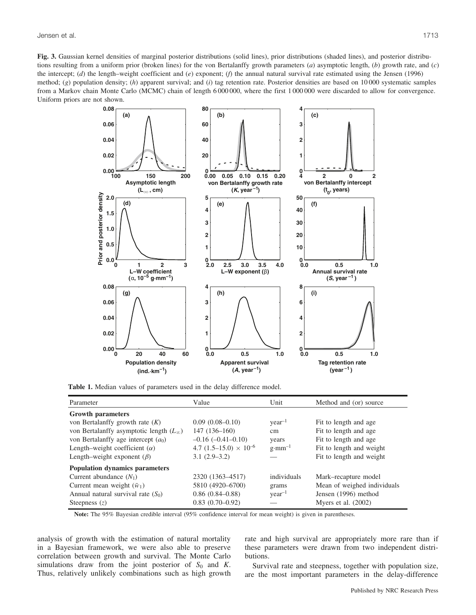**Fig. 3.** Gaussian kernel densities of marginal posterior distributions (solid lines), prior distributions (shaded lines), and posterior distributions resulting from a uniform prior (broken lines) for the von Bertalanffy growth parameters (*a*) asymptotic length, (*b*) growth rate, and (*c*) the intercept; (*d*) the length–weight coefficient and (*e*) exponent; (*f*) the annual natural survival rate estimated using the Jensen (1996) method; (*g*) population density; (*h*) apparent survival; and (*i*) tag retention rate. Posterior densities are based on 10 000 systematic samples from a Markov chain Monte Carlo (MCMC) chain of length 6 000 000, where the first 1 000 000 were discarded to allow for convergence. Uniform priors are not shown.



**Table 1.** Median values of parameters used in the delay difference model.

| Parameter                                        | Value                           | Unit                      | Method and (or) source      |  |  |  |
|--------------------------------------------------|---------------------------------|---------------------------|-----------------------------|--|--|--|
| <b>Growth parameters</b>                         |                                 |                           |                             |  |  |  |
| von Bertalanffy growth rate $(K)$                | $0.09(0.08-0.10)$               | $year^{-1}$               | Fit to length and age       |  |  |  |
| von Bertalanffy asymptotic length $(L_{\infty})$ | $147(136-160)$                  | <sub>cm</sub>             | Fit to length and age       |  |  |  |
| von Bertalanffy age intercept $(a_0)$            | $-0.16$ $(-0.41 - 0.10)$        | years                     | Fit to length and age       |  |  |  |
| Length–weight coefficient $(\alpha)$             | 4.7 $(1.5-15.0) \times 10^{-6}$ | $g\cdot$ mm <sup>-1</sup> | Fit to length and weight    |  |  |  |
| Length–weight exponent $(\beta)$                 | $3.1(2.9-3.2)$                  |                           | Fit to length and weight    |  |  |  |
| <b>Population dynamics parameters</b>            |                                 |                           |                             |  |  |  |
| Current abundance $(N_1)$                        | 2320 (1363-4517)                | individuals               | Mark-recapture model        |  |  |  |
| Current mean weight $(\bar{w}_1)$                | 5810 (4920-6700)                | grams                     | Mean of weighed individuals |  |  |  |
| Annual natural survival rate $(S_0)$             | $0.86(0.84 - 0.88)$             | $year^{-1}$               | Jensen (1996) method        |  |  |  |
| Steepness $(z)$                                  | $0.83(0.70-0.92)$               |                           | Myers et al. $(2002)$       |  |  |  |

**Note:** The 95% Bayesian credible interval (95% confidence interval for mean weight) is given in parentheses.

analysis of growth with the estimation of natural mortality in a Bayesian framework, we were also able to preserve correlation between growth and survival. The Monte Carlo simulations draw from the joint posterior of  $S_0$  and  $K$ . Thus, relatively unlikely combinations such as high growth rate and high survival are appropriately more rare than if these parameters were drawn from two independent distributions.

Survival rate and steepness, together with population size, are the most important parameters in the delay-difference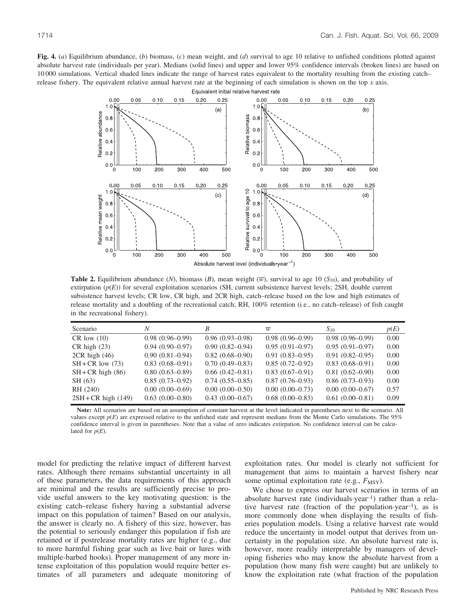**Fig. 4.** (*a*) Equilibrium abundance, (*b*) biomass, (*c*) mean weight, and (*d*) survival to age 10 relative to unfished conditions plotted against absolute harvest rate (individuals per year). Medians (solid lines) and upper and lower 95% confidence intervals (broken lines) are based on 10 000 simulations. Vertical shaded lines indicate the range of harvest rates equivalent to the mortality resulting from the existing catch– release fishery. The equivalent relative annual harvest rate at the beginning of each simulation is shown on the top *x* axis.



**Table 2.** Equilibrium abundance (*N*), biomass (*B*), mean weight  $(\overline{w})$ , survival to age 10 (*S*<sub>10</sub>), and probability of extirpation  $(p(E))$  for several exploitation scenarios (SH, current subsistence harvest levels; 2SH, double current subsistence harvest levels; CR low, CR high, and 2CR high, catch–release based on the low and high estimates of release mortality and a doubling of the recreational catch; RH, 100% retention (i.e., no catch–release) of fish caught in the recreational fishery).

| Scenario                | N                   | B                   | w                   | $S_{10}$            | p(E) |
|-------------------------|---------------------|---------------------|---------------------|---------------------|------|
| $CR$ low $(10)$         | $0.98(0.96-0.99)$   | $0.96(0.93-0.98)$   | $0.98(0.96-0.99)$   | $0.98(0.96-0.99)$   | 0.00 |
| $CR$ high $(23)$        | $0.94(0.90-0.97)$   | $0.90(0.82 - 0.94)$ | $0.95(0.91 - 0.97)$ | $0.95(0.91-0.97)$   | 0.00 |
| $2CR$ high $(46)$       | $0.90(0.81 - 0.94)$ | $0.82(0.68 - 0.90)$ | $0.91(0.83 - 0.95)$ | $0.91(0.82 - 0.95)$ | 0.00 |
| $SH + CR$ low (73)      | $0.83(0.68-0.91)$   | $0.70(0.49-0.83)$   | $0.85(0.72-0.92)$   | $0.83(0.68-0.91)$   | 0.00 |
| $SH + CR$ high $(86)$   | $0.80(0.63 - 0.89)$ | $0.66(0.42-0.81)$   | $0.83(0.67-0.91)$   | $0.81(0.62 - 0.90)$ | 0.00 |
| SH (63)                 | $0.85(0.73-0.92)$   | $0.74(0.55-0.85)$   | $0.87(0.76-0.93)$   | $0.86(0.73-0.93)$   | 0.00 |
| RH (240)                | $0.00(0.00-0.69)$   | $0.00(0.00-0.50)$   | $0.00(0.00-0.73)$   | $0.00(0.00-0.67)$   | 0.57 |
| $2SH + CR$ high $(149)$ | $0.63(0.00-0.80)$   | $0.43(0.00-0.67)$   | $0.68(0.00-0.83)$   | $0.61(0.00-0.81)$   | 0.09 |

**Note:** All scenarios are based on an assumption of constant harvest at the level indicated in parentheses next to the scenario. All values except  $p(E)$  are expressed relative to the unfished state and represent medians from the Monte Carlo simulations. The 95% confidence interval is given in parentheses. Note that a value of zero indicates extirpation. No confidence interval can be calculated for  $p(E)$ .

model for predicting the relative impact of different harvest rates. Although there remains substantial uncertainty in all of these parameters, the data requirements of this approach are minimal and the results are sufficiently precise to provide useful answers to the key motivating question: is the existing catch–release fishery having a substantial adverse impact on this population of taimen? Based on our analysis, the answer is clearly no. A fishery of this size, however, has the potential to seriously endanger this population if fish are retained or if postrelease mortality rates are higher (e.g., due to more harmful fishing gear such as live bait or lures with multiple-barbed hooks). Proper management of any more intense exploitation of this population would require better estimates of all parameters and adequate monitoring of exploitation rates. Our model is clearly not sufficient for management that aims to maintain a harvest fishery near some optimal exploitation rate (e.g.,  $F_{\text{MSY}}$ ).

We chose to express our harvest scenarios in terms of an absolute harvest rate (individuals-year<sup>-1</sup>) rather than a relative harvest rate (fraction of the population year<sup>-1</sup>), as is more commonly done when displaying the results of fisheries population models. Using a relative harvest rate would reduce the uncertainty in model output that derives from uncertainty in the population size. An absolute harvest rate is, however, more readily interpretable by managers of developing fisheries who may know the absolute harvest from a population (how many fish were caught) but are unlikely to know the exploitation rate (what fraction of the population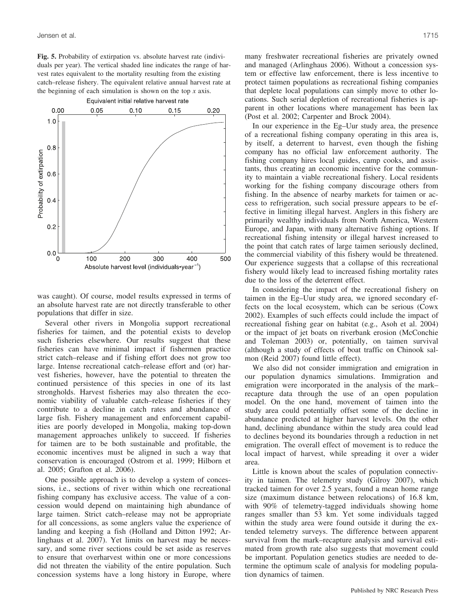**Fig. 5.** Probability of extirpation vs. absolute harvest rate (individuals per year). The vertical shaded line indicates the range of harvest rates equivalent to the mortality resulting from the existing catch–release fishery. The equivalent relative annual harvest rate at the beginning of each simulation is shown on the top *x* axis.



was caught). Of course, model results expressed in terms of an absolute harvest rate are not directly transferable to other populations that differ in size.

Several other rivers in Mongolia support recreational fisheries for taimen, and the potential exists to develop such fisheries elsewhere. Our results suggest that these fisheries can have minimal impact if fishermen practice strict catch–release and if fishing effort does not grow too large. Intense recreational catch–release effort and (or) harvest fisheries, however, have the potential to threaten the continued persistence of this species in one of its last strongholds. Harvest fisheries may also threaten the economic viability of valuable catch–release fisheries if they contribute to a decline in catch rates and abundance of large fish. Fishery management and enforcement capabilities are poorly developed in Mongolia, making top-down management approaches unlikely to succeed. If fisheries for taimen are to be both sustainable and profitable, the economic incentives must be aligned in such a way that conservation is encouraged (Ostrom et al. 1999; Hilborn et al. 2005; Grafton et al. 2006).

One possible approach is to develop a system of concessions, i.e., sections of river within which one recreational fishing company has exclusive access. The value of a concession would depend on maintaining high abundance of large taimen. Strict catch–release may not be appropriate for all concessions, as some anglers value the experience of landing and keeping a fish (Holland and Ditton 1992; Arlinghaus et al. 2007). Yet limits on harvest may be necessary, and some river sections could be set aside as reserves to ensure that overharvest within one or more concessions did not threaten the viability of the entire population. Such concession systems have a long history in Europe, where many freshwater recreational fisheries are privately owned and managed (Arlinghaus 2006). Without a concession system or effective law enforcement, there is less incentive to protect taimen populations as recreational fishing companies that deplete local populations can simply move to other locations. Such serial depletion of recreational fisheries is apparent in other locations where management has been lax (Post et al. 2002; Carpenter and Brock 2004).

In our experience in the Eg–Uur study area, the presence of a recreational fishing company operating in this area is, by itself, a deterrent to harvest, even though the fishing company has no official law enforcement authority. The fishing company hires local guides, camp cooks, and assistants, thus creating an economic incentive for the community to maintain a viable recreational fishery. Local residents working for the fishing company discourage others from fishing. In the absence of nearby markets for taimen or access to refrigeration, such social pressure appears to be effective in limiting illegal harvest. Anglers in this fishery are primarily wealthy individuals from North America, Western Europe, and Japan, with many alternative fishing options. If recreational fishing intensity or illegal harvest increased to the point that catch rates of large taimen seriously declined, the commercial viability of this fishery would be threatened. Our experience suggests that a collapse of this recreational fishery would likely lead to increased fishing mortality rates due to the loss of the deterrent effect.

In considering the impact of the recreational fishery on taimen in the Eg–Uur study area, we ignored secondary effects on the local ecosystem, which can be serious (Cowx 2002). Examples of such effects could include the impact of recreational fishing gear on habitat (e.g., Asoh et al. 2004) or the impact of jet boats on riverbank erosion (McConchie and Toleman 2003) or, potentially, on taimen survival (although a study of effects of boat traffic on Chinook salmon (Reid 2007) found little effect).

We also did not consider immigration and emigration in our population dynamics simulations. Immigration and emigration were incorporated in the analysis of the mark– recapture data through the use of an open population model. On the one hand, movement of taimen into the study area could potentially offset some of the decline in abundance predicted at higher harvest levels. On the other hand, declining abundance within the study area could lead to declines beyond its boundaries through a reduction in net emigration. The overall effect of movement is to reduce the local impact of harvest, while spreading it over a wider area.

Little is known about the scales of population connectivity in taimen. The telemetry study (Gilroy 2007), which tracked taimen for over 2.5 years, found a mean home range size (maximum distance between relocations) of 16.8 km, with 90% of telemetry-tagged individuals showing home ranges smaller than 53 km. Yet some individuals tagged within the study area were found outside it during the extended telemetry surveys. The difference between apparent survival from the mark–recapture analysis and survival estimated from growth rate also suggests that movement could be important. Population genetics studies are needed to determine the optimum scale of analysis for modeling population dynamics of taimen.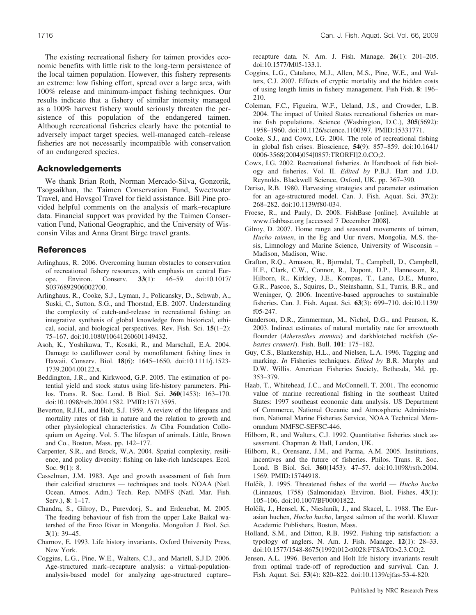The existing recreational fishery for taimen provides economic benefits with little risk to the long-term persistence of the local taimen population. However, this fishery represents an extreme: low fishing effort, spread over a large area, with 100% release and minimum-impact fishing techniques. Our results indicate that a fishery of similar intensity managed as a 100% harvest fishery would seriously threaten the persistence of this population of the endangered taimen. Although recreational fisheries clearly have the potential to adversely impact target species, well-managed catch–release fisheries are not necessarily incompatible with conservation of an endangered species.

## **Acknowledgements**

We thank Brian Roth, Norman Mercado-Silva, Gonzorik, Tsogsaikhan, the Taimen Conservation Fund, Sweetwater Travel, and Hovsgol Travel for field assistance. Bill Pine provided helpful comments on the analysis of mark–recapture data. Financial support was provided by the Taimen Conservation Fund, National Geographic, and the University of Wisconsin Vilas and Anna Grant Birge travel grants.

#### **References**

- Arlinghaus, R. 2006. Overcoming human obstacles to conservation of recreational fishery resources, with emphasis on central Europe. Environ. Conserv. **33**(1): 46–59. doi:10.1017/ S0376892906002700.
- Arlinghaus, R., Cooke, S.J., Lyman, J., Policansky, D., Schwab, A., Suski, C., Sutton, S.G., and Thorstad, E.B. 2007. Understanding the complexity of catch-and-release in recreational fishing: an integrative synthesis of global knowledge from historical, ethical, social, and biological perspectives. Rev. Fish. Sci. **15**(1–2): 75–167. doi:10.1080/10641260601149432.
- Asoh, K., Yoshikawa, T., Kosaki, R., and Marschall, E.A. 2004. Damage to cauliflower coral by monofilament fishing lines in Hawaii. Conserv. Biol. **18**(6): 1645–1650. doi:10.1111/j.1523- 1739.2004.00122.x.
- Beddington, J.R., and Kirkwood, G.P. 2005. The estimation of potential yield and stock status using life-history parameters. Philos. Trans. R. Soc. Lond. B Biol. Sci. **360**(1453): 163–170. doi:10.1098/rstb.2004.1582. PMID:15713595.
- Beverton, R.J.H., and Holt, S.J. 1959. A review of the lifespans and mortality rates of fish in nature and the relation to growth and other physiological characteristics. *In* Ciba Foundation Colloquium on Ageing. Vol. 5. The lifespan of animals. Little, Brown and Co., Boston, Mass. pp. 142–177.
- Carpenter, S.R., and Brock, W.A. 2004. Spatial complexity, resilience, and policy diversity: fishing on lake-rich landscapes. Ecol. Soc. **9**(1): 8.
- Casselman, J.M. 1983. Age and growth assessment of fish from their calcified structures — techniques and tools. NOAA (Natl. Ocean. Atmos. Adm.) Tech. Rep. NMFS (Natl. Mar. Fish. Serv.), **8**: 1–17.
- Chandra, S., Gilroy, D., Purevdorj, S., and Erdenebat, M. 2005. The feeding behaviour of fish from the upper Lake Baikal watershed of the Eroo River in Mongolia. Mongolian J. Biol. Sci. **3**(1): 39–45.
- Charnov, E. 1993. Life history invariants. Oxford University Press, New York.
- Coggins, L.G., Pine, W.E., Walters, C.J., and Martell, S.J.D. 2006. Age-structured mark–recapture analysis: a virtual-populationanalysis-based model for analyzing age-structured capture–

recapture data. N. Am. J. Fish. Manage. **26**(1): 201–205. doi:10.1577/M05-133.1.

- Coggins, L.G., Catalano, M.J., Allen, M.S., Pine, W.E., and Walters, C.J. 2007. Effects of cryptic mortality and the hidden costs of using length limits in fishery management. Fish Fish. **8**: 196– 210.
- Coleman, F.C., Figueira, W.F., Ueland, J.S., and Crowder, L.B. 2004. The impact of United States recreational fisheries on marine fish populations. Science (Washington, D.C.), **305**(5692): 1958–1960. doi:10.1126/science.1100397. PMID:15331771.
- Cooke, S.J., and Cowx, I.G. 2004. The role of recreational fishing in global fish crises. Bioscience, **54**(9): 857–859. doi:10.1641/ 0006-3568(2004)054[0857:TRORFI]2.0.CO;2.
- Cowx, I.G. 2002. Recreational fisheries. *In* Handbook of fish biology and fisheries. Vol. II. *Edited by* P.B.J. Hart and J.D. Reynolds. Blackwell Science, Oxford, UK. pp. 367–390.
- Deriso, R.B. 1980. Harvesting strategies and parameter estimation for an age-structured model. Can. J. Fish. Aquat. Sci. **37**(2): 268–282. doi:10.1139/f80-034.
- Froese, R., and Pauly, D. 2008. FishBase [online]. Available at www.fishbase.org [accessed 7 December 2008].
- Gilroy, D. 2007. Home range and seasonal movements of taimen, *Hucho taimen*, in the Eg and Uur rivers, Mongolia. M.S. thesis, Limnology and Marine Science, University of Wisconsin – Madison, Madison, Wisc.
- Grafton, R.Q., Arnason, R., Bjorndal, T., Campbell, D., Campbell, H.F., Clark, C.W., Connor, R., Dupont, D.P., Hannesson, R., Hilborn, R., Kirkley, J.E., Kompas, T., Lane, D.E., Munro, G.R., Pascoe, S., Squires, D., Steinshamn, S.I., Turris, B.R., and Weninger, Q. 2006. Incentive-based approaches to sustainable fisheries. Can. J. Fish. Aquat. Sci. **63**(3): 699–710. doi:10.1139/ f05-247.
- Gunderson, D.R., Zimmerman, M., Nichol, D.G., and Pearson, K. 2003. Indirect estimates of natural mortality rate for arrowtooth flounder (*Atheresthes stomias*) and darkblotched rockfish (*Sebastes crameri*). Fish. Bull. **101**: 175–182.
- Guy, C.S., Blankenship, H.L., and Nielsen, L.A. 1996. Tagging and marking. *In* Fisheries techniques. *Edited by* B.R. Murphy and D.W. Willis. American Fisheries Society, Bethesda, Md. pp. 353–379.
- Haab, T., Whitehead, J.C., and McConnell, T. 2001. The economic value of marine recreational fishing in the southeast United States: 1997 southeast economic data analysis. US Department of Commerce, National Oceanic and Atmospheric Administration, National Marine Fisheries Service, NOAA Technical Memorandum NMFSC-SEFSC-446.
- Hilborn, R., and Walters, C.J. 1992. Quantitative fisheries stock assessment. Chapman & Hall, London, UK.
- Hilborn, R., Orensanz, J.M., and Parma, A.M. 2005. Institutions, incentives and the future of fisheries. Philos. Trans. R. Soc. Lond. B Biol. Sci. **360**(1453): 47–57. doi:10.1098/rstb.2004. 1569. PMID:15744918.
- Holčík. J. 1995. Threatened fishes of the world *Hucho hucho* (Linnaeus, 1758) (Salmonidae). Environ. Biol. Fishes, **43**(1): 105–106. doi:10.1007/BF00001822.
- Holčík, J., Hensel, K., Nieslanik, J., and Skacel, L. 1988. The Eurasian huchen, *Hucho hucho*, largest salmon of the world. Kluwer Academic Publishers, Boston, Mass.
- Holland, S.M., and Ditton, R.B. 1992. Fishing trip satisfaction: a typology of anglers. N. Am. J. Fish. Manage. **12**(1): 28–33. doi:10.1577/1548-8675(1992)012<0028:FTSATO>2.3.CO;2.
- Jensen, A.L. 1996. Beverton and Holt life history invariants result from optimal trade-off of reproduction and survival. Can. J. Fish. Aquat. Sci. **53**(4): 820–822. doi:10.1139/cjfas-53-4-820.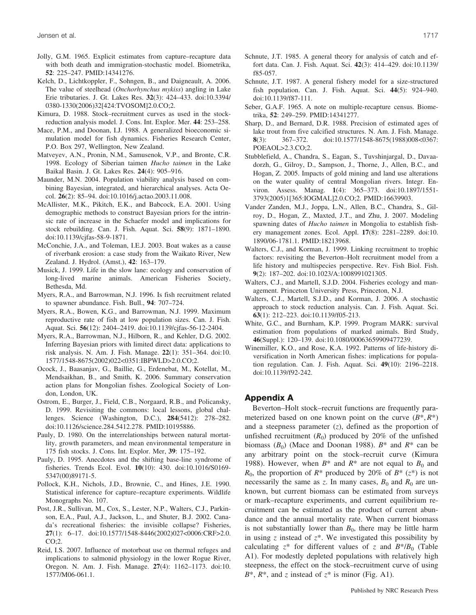- Jolly, G.M. 1965. Explicit estimates from capture–recapture data with both death and immigration-stochastic model. Biometrika, **52**: 225–247. PMID:14341276.
- Kelch, D., Lichtkoppler, F., Sohngen, B., and Daigneault, A. 2006. The value of steelhead (*Onchorhynchus mykiss*) angling in Lake Erie tributaries. J. Gt. Lakes Res. **32**(3): 424–433. doi:10.3394/ 0380-1330(2006)32[424:TVOSOM]2.0.CO;2.
- Kimura, D. 1988. Stock–recruitment curves as used in the stockreduction analysis model. J. Cons. Int. Explor. Mer. **44**: 253–258.
- Mace, P.M., and Doonan, I.J. 1988. A generalized bioeconomic simulation model for fish dynamics. Fisheries Research Center, P.O. Box 297, Wellington, New Zealand.
- Matveyev, A.N., Pronin, N.M., Samusenok, V.P., and Bronte, C.R. 1998. Ecology of Siberian taimen *Hucho taimen* in the Lake Baikal Basin. J. Gt. Lakes Res. **24**(4): 905–916.
- Maunder, M.N. 2004. Population viability analysis based on combining Bayesian, integrated, and hierarchical analyses. Acta Oecol. **26**(2): 85–94. doi:10.1016/j.actao.2003.11.008.
- McAllister, M.K., Pikitch, E.K., and Babcock, E.A. 2001. Using demographic methods to construct Bayesian priors for the intrinsic rate of increase in the Schaefer model and implications for stock rebuilding. Can. J. Fish. Aquat. Sci. **58**(9): 1871–1890. doi:10.1139/cjfas-58-9-1871.
- McConchie, J.A., and Toleman, I.E.J. 2003. Boat wakes as a cause of riverbank erosion: a case study from the Waikato River, New Zealand. J. Hydrol. (Amst.), **42**: 163–179.
- Musick, J. 1999. Life in the slow lane: ecology and conservation of long-lived marine animals. American Fisheries Society, Bethesda, Md.
- Myers, R.A., and Barrowman, N.J. 1996. Is fish recruitment related to spawner abundance. Fish. Bull., **94**: 707–724.
- Myers, R.A., Bowen, K.G., and Barrowman, N.J. 1999. Maximum reproductive rate of fish at low population sizes. Can. J. Fish. Aquat. Sci. **56**(12): 2404–2419. doi:10.1139/cjfas-56-12-2404.
- Myers, R.A., Barrowman, N.J., Hilborn, R., and Kehler, D.G. 2002. Inferring Bayesian priors with limited direct data: applications to risk analysis. N. Am. J. Fish. Manage. **22**(1): 351–364. doi:10. 1577/1548-8675(2002)022<0351:IBPWLD>2.0.CO;2.
- Ocock, J., Baasanjav, G., Baillie, G., Erdenebat, M., Kotellat, M., Mendsaikhan, B., and Smith, K. 2006. Summary conservation action plans for Mongolian fishes. Zoological Society of London, London, UK.
- Ostrom, E., Burger, J., Field, C.B., Norgaard, R.B., and Policansky, D. 1999. Revisiting the commons: local lessons, global challenges. Science (Washington, D.C.), **284**(5412): 278–282. doi:10.1126/science.284.5412.278. PMID:10195886.
- Pauly, D. 1980. On the interrelationships between natural mortatlity, growth parameters, and mean environmental temperature in 175 fish stocks. J. Cons. Int. Explor. Mer, **39**: 175–192.
- Pauly, D. 1995. Anecdotes and the shifting base-line syndrome of fisheries. Trends Ecol. Evol. **10**(10): 430. doi:10.1016/S0169- 5347(00)89171-5.
- Pollock, K.H., Nichols, J.D., Brownie, C., and Hines, J.E. 1990. Statistical inference for capture–recapture experiments. Wildlife Monographs No. 107.
- Post, J.R., Sullivan, M., Cox, S., Lester, N.P., Walters, C.J., Parkinson, E.A., Paul, A.J., Jackson, L., and Shuter, B.J. 2002. Canada's recreational fisheries: the invisible collapse? Fisheries, **27**(1): 6–17. doi:10.1577/1548-8446(2002)027<0006:CRF>2.0. CO;2.
- Reid, I.S. 2007. Influence of motorboat use on thermal refuges and implications to salmonid physiology in the lower Rogue River, Oregon. N. Am. J. Fish. Manage. **27**(4): 1162–1173. doi:10. 1577/M06-061.1.
- Schnute, J.T. 1985. A general theory for analysis of catch and effort data. Can. J. Fish. Aquat. Sci. **42**(3): 414–429. doi:10.1139/ f85-057.
- Schnute, J.T. 1987. A general fishery model for a size-structured fish population. Can. J. Fish. Aquat. Sci. **44**(5): 924–940. doi:10.1139/f87-111.
- Seber, G.A.F. 1965. A note on multiple-recapture census. Biometrika, **52**: 249–259. PMID:14341277.
- Sharp, D., and Bernard, D.R. 1988. Precision of estimated ages of lake trout from five calcified structures. N. Am. J. Fish. Manage. **8**(3): 367–372. doi:10.1577/1548-8675(1988)008<0367: POEAOL>2.3.CO;2.
- Stubblefield, A., Chandra, S., Eagan, S., Tuvshinjargal, D., Davaadorzh, G., Gilroy, D., Sampson, J., Thorne, J., Allen, B.C., and Hogan, Z. 2005. Impacts of gold mining and land use alterations on the water quality of central Mongolian rivers. Integr. Environ. Assess. Manag. **1**(4): 365–373. doi:10.1897/1551- 3793(2005)1[365:IOGMAL]2.0.CO;2. PMID:16639903.
- Vander Zanden, M.J., Joppa, L.N., Allen, B.C., Chandra, S., Gilroy, D., Hogan, Z., Maxted, J.T., and Zhu, J. 2007. Modeling spawning dates of *Hucho taimen* in Mongolia to establish fishery management zones. Ecol. Appl. **17**(8): 2281–2289. doi:10. 1890/06-1781.1. PMID:18213968.
- Walters, C.J., and Korman, J. 1999. Linking recruitment to trophic factors: revisiting the Beverton–Holt recruitment model from a life history and multispecies perspective. Rev. Fish Biol. Fish. **9**(2): 187–202. doi:10.1023/A:1008991021305.
- Walters, C.J., and Martell, S.J.D. 2004. Fisheries ecology and management. Princeton University Press, Princeton, N.J.
- Walters, C.J., Martell, S.J.D., and Korman, J. 2006. A stochastic approach to stock reduction analysis. Can. J. Fish. Aquat. Sci. **63**(1): 212–223. doi:10.1139/f05-213.
- White, G.C., and Burnham, K.P. 1999. Program MARK: survival estimation from populations of marked animals. Bird Study, **46**(Suppl.): 120–139. doi:10.1080/00063659909477239.
- Winemiller, K.O., and Rose, K.A. 1992. Patterns of life-history diversification in North American fishes: implications for population regulation. Can. J. Fish. Aquat. Sci. **49**(10): 2196–2218. doi:10.1139/f92-242.

## **Appendix A**

Beverton–Holt stock–recruit functions are frequently parameterized based on one known point on the curve  $(B^*, R^*)$ and a steepness parameter (*z*), defined as the proportion of unfished recruitment  $(R_0)$  produced by 20% of the unfished biomass  $(B_0)$  (Mace and Doonan 1988).  $B^*$  and  $R^*$  can be any arbitrary point on the stock–recruit curve (Kimura 1988). However, when  $B^*$  and  $R^*$  are not equal to  $B_0$  and  $R_0$ , the proportion of  $R^*$  produced by 20% of  $B^*$  ( $z^*$ ) is not necessarily the same as *z*. In many cases,  $B_0$  and  $R_0$  are unknown, but current biomass can be estimated from surveys or mark–recapture experiments, and current equilibrium recruitment can be estimated as the product of current abundance and the annual mortality rate. When current biomass is not substantially lower than  $B_0$ , there may be little harm in using *z* instead of *z*\*. We investigated this possibility by calculating  $z^*$  for different values of *z* and  $B^*/B_0$  (Table A1). For modestly depleted populations with relatively high steepness, the effect on the stock–recruitment curve of using  $B^*$ ,  $R^*$ , and *z* instead of  $z^*$  is minor (Fig. A1).